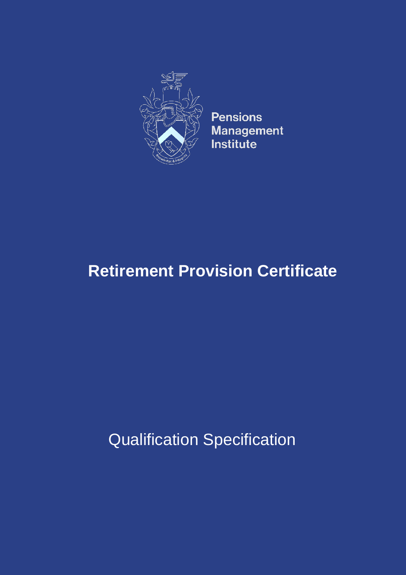

**Pensions Management** Institute

# **Retirement Provision Certificate**

Qualification Specification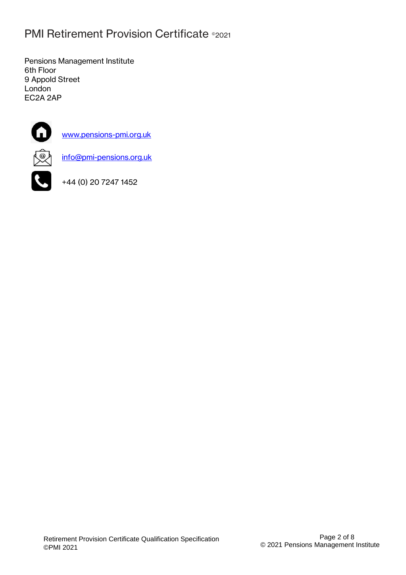# **PMI Retirement Provision Certificate ®2021**

Pensions Management Institute 6th Floor 9 Appold Street London EC2A 2AP



[www.pensions-pmi.org.uk](http://www.pensions-pmi.org.uk/)



[info@pmi-pensions.org.uk](mailto:info@pmi-pensions.org.uk)



+44 (0) 20 7247 1452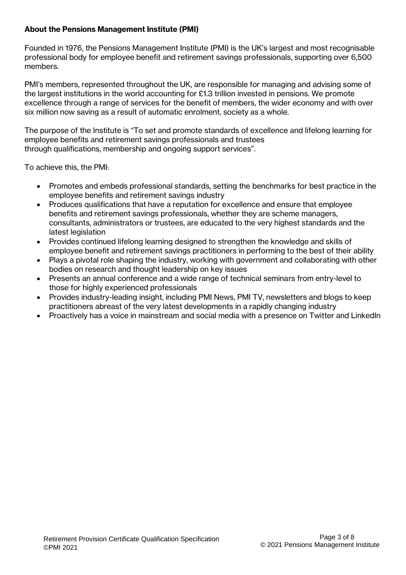# **About the Pensions Management Institute (PMI)**

Founded in 1976, the Pensions Management Institute (PMI) is the UK's largest and most recognisable professional body for employee benefit and retirement savings professionals, supporting over 6,500 members.

PMI's members, represented throughout the UK, are responsible for managing and advising some of the largest institutions in the world accounting for £1.3 trillion invested in pensions. We promote excellence through a range of services for the benefit of members, the wider economy and with over six million now saving as a result of automatic enrolment, society as a whole.

The purpose of the Institute is "To set and promote standards of excellence and lifelong learning for employee benefits and retirement savings professionals and trustees through qualifications, membership and ongoing support services".

To achieve this, the PMI:

- Promotes and embeds professional standards, setting the benchmarks for best practice in the employee benefits and retirement savings industry
- Produces qualifications that have a reputation for excellence and ensure that employee benefits and retirement savings professionals, whether they are scheme managers, consultants, administrators or trustees, are educated to the very highest standards and the latest legislation
- Provides continued lifelong learning designed to strengthen the knowledge and skills of employee benefit and retirement savings practitioners in performing to the best of their ability
- Plays a pivotal role shaping the industry, working with government and collaborating with other bodies on research and thought leadership on key issues
- Presents an annual conference and a wide range of technical seminars from entry-level to those for highly experienced professionals
- Provides industry-leading insight, including PMI News, PMI TV, newsletters and blogs to keep practitioners abreast of the very latest developments in a rapidly changing industry
- Proactively has a voice in mainstream and social media with a presence on Twitter and LinkedIn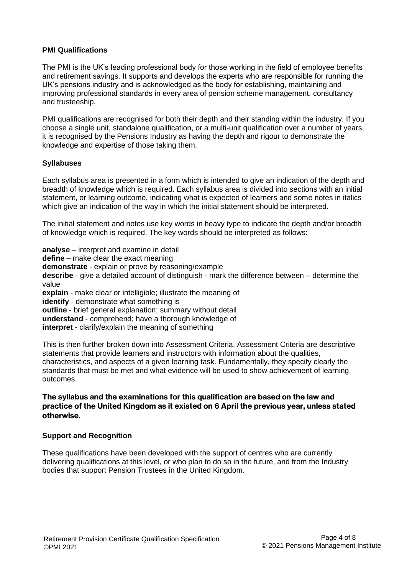#### **PMI Qualifications**

The PMI is the UK's leading professional body for those working in the field of employee benefits and retirement savings. It supports and develops the experts who are responsible for running the UK's pensions industry and is acknowledged as the body for establishing, maintaining and improving professional standards in every area of pension scheme management, consultancy and trusteeship.

PMI qualifications are recognised for both their depth and their standing within the industry. If you choose a single unit, standalone qualification, or a multi-unit qualification over a number of years, it is recognised by the Pensions Industry as having the depth and rigour to demonstrate the knowledge and expertise of those taking them.

#### **Syllabuses**

Each syllabus area is presented in a form which is intended to give an indication of the depth and breadth of knowledge which is required. Each syllabus area is divided into sections with an initial statement, or learning outcome, indicating what is expected of learners and some notes in italics which give an indication of the way in which the initial statement should be interpreted.

The initial statement and notes use key words in heavy type to indicate the depth and/or breadth of knowledge which is required. The key words should be interpreted as follows:

**analyse** – interpret and examine in detail **define** – make clear the exact meaning **demonstrate** - explain or prove by reasoning/example **describe** - give a detailed account of distinguish - mark the difference between – determine the value **explain** - make clear or intelligible; illustrate the meaning of **identify** - demonstrate what something is **outline** - brief general explanation; summary without detail **understand** - comprehend; have a thorough knowledge of **interpret** - clarify/explain the meaning of something

This is then further broken down into Assessment Criteria. Assessment Criteria are descriptive statements that provide learners and instructors with information about the qualities, characteristics, and aspects of a given learning task. Fundamentally, they specify clearly the standards that must be met and what evidence will be used to show achievement of learning outcomes.

#### **The syllabus and the examinations for this qualification are based on the law and practice of the United Kingdom as it existed on 6 April the previous year, unless stated otherwise.**

#### **Support and Recognition**

These qualifications have been developed with the support of centres who are currently delivering qualifications at this level, or who plan to do so in the future, and from the Industry bodies that support Pension Trustees in the United Kingdom.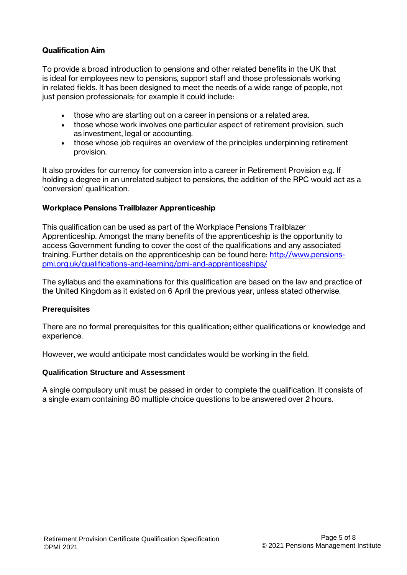# **Qualification Aim**

To provide a broad introduction to pensions and other related benefits in the UK that is ideal for employees new to pensions, support staff and those professionals working in related fields. It has been designed to meet the needs of a wide range of people, not just pension professionals; for example it could include:

- those who are starting out on a career in pensions or a related area.
- those whose work involves one particular aspect of retirement provision, such as investment, legal or accounting.
- those whose job requires an overview of the principles underpinning retirement provision.

It also provides for currency for conversion into a career in Retirement Provision e.g. If holding a degree in an unrelated subject to pensions, the addition of the RPC would act as a 'conversion' qualification.

# **Workplace Pensions Trailblazer Apprenticeship**

This qualification can be used as part of the Workplace Pensions Trailblazer Apprenticeship. Amongst the many benefits of the apprenticeship is the opportunity to access Government funding to cover the cost of the qualifications and any associated training. Further details on the apprenticeship can be found here: [http://www.pensions](http://www.pensions-pmi.org.uk/qualifications-and-learning/pmi-and-apprenticeships/)[pmi.org.uk/qualifications-and-learning/pmi-and-apprenticeships/](http://www.pensions-pmi.org.uk/qualifications-and-learning/pmi-and-apprenticeships/)

The syllabus and the examinations for this qualification are based on the law and practice of the United Kingdom as it existed on 6 April the previous year, unless stated otherwise.

#### **Prerequisites**

There are no formal prerequisites for this qualification; either qualifications or knowledge and experience.

However, we would anticipate most candidates would be working in the field.

#### **Qualification Structure and Assessment**

A single compulsory unit must be passed in order to complete the qualification. It consists of a single exam containing 80 multiple choice questions to be answered over 2 hours.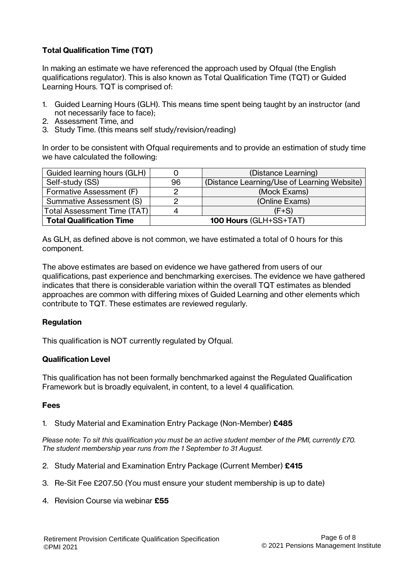# **Total Qualification Time (TQT)**

In making an estimate we have referenced the approach used by Ofqual (the English qualifications regulator). This is also known as Total Qualification Time (TQT) or Guided Learning Hours. TQT is comprised of:

- 1. Guided Learning Hours (GLH). This means time spent being taught by an instructor (and not necessarily face to face);
- 2. Assessment Time, and
- 3. Study Time. (this means self study/revision/reading)

In order to be consistent with Ofqual requirements and to provide an estimation of study time we have calculated the following:

| Guided learning hours (GLH)     |                        | (Distance Learning)                         |  |
|---------------------------------|------------------------|---------------------------------------------|--|
| Self-study (SS)                 | 96                     | (Distance Learning/Use of Learning Website) |  |
| Formative Assessment (F)        |                        | (Mock Exams)                                |  |
| Summative Assessment (S)        |                        | (Online Exams)                              |  |
| Total Assessment Time (TAT)     |                        | $(F+S)$                                     |  |
| <b>Total Qualification Time</b> | 100 Hours (GLH+SS+TAT) |                                             |  |

As GLH, as defined above is not common, we have estimated a total of 0 hours for this component.

The above estimates are based on evidence we have gathered from users of our qualifications, past experience and benchmarking exercises. The evidence we have gathered indicates that there is considerable variation within the overall TQT estimates as blended approaches are common with differing mixes of Guided Learning and other elements which contribute to TQT. These estimates are reviewed regularly.

# **Regulation**

This qualification is NOT currently regulated by Ofqual.

# **Qualification Level**

This qualification has not been formally benchmarked against the Regulated Qualification Framework but is broadly equivalent, in content, to a level 4 qualification.

#### **Fees**

1. Study Material and Examination Entry Package (Non-Member) **£485**

*Please note: To sit this qualification you must be an active student member of the PMI, currently £70. The student membership year runs from the 1 September to 31 August.*

- 2. Study Material and Examination Entry Package (Current Member) **£415**
- 3. Re-Sit Fee £207.50 (You must ensure your student membership is up to date)
- 4. Revision Course via webinar **£55**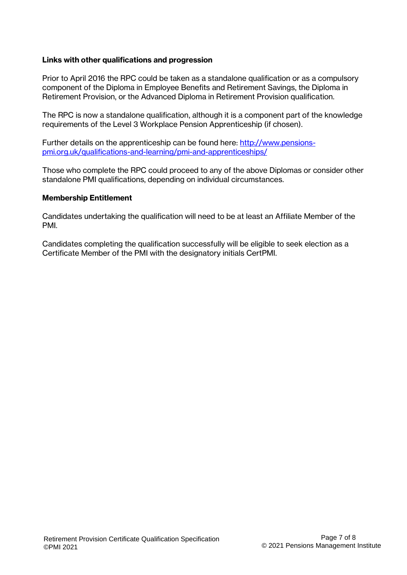# **Links with other qualifications and progression**

Prior to April 2016 the RPC could be taken as a standalone qualification or as a compulsory component of the Diploma in Employee Benefits and Retirement Savings, the Diploma in Retirement Provision, or the Advanced Diploma in Retirement Provision qualification.

The RPC is now a standalone qualification, although it is a component part of the knowledge requirements of the Level 3 Workplace Pension Apprenticeship (if chosen).

Further details on the apprenticeship can be found here: [http://www.pensions](http://www.pensions-pmi.org.uk/qualifications-and-learning/pmi-and-apprenticeships/)[pmi.org.uk/qualifications-and-learning/pmi-and-apprenticeships/](http://www.pensions-pmi.org.uk/qualifications-and-learning/pmi-and-apprenticeships/)

Those who complete the RPC could proceed to any of the above Diplomas or consider other standalone PMI qualifications, depending on individual circumstances.

#### **Membership Entitlement**

Candidates undertaking the qualification will need to be at least an Affiliate Member of the PMI.

Candidates completing the qualification successfully will be eligible to seek election as a Certificate Member of the PMI with the designatory initials CertPMI.